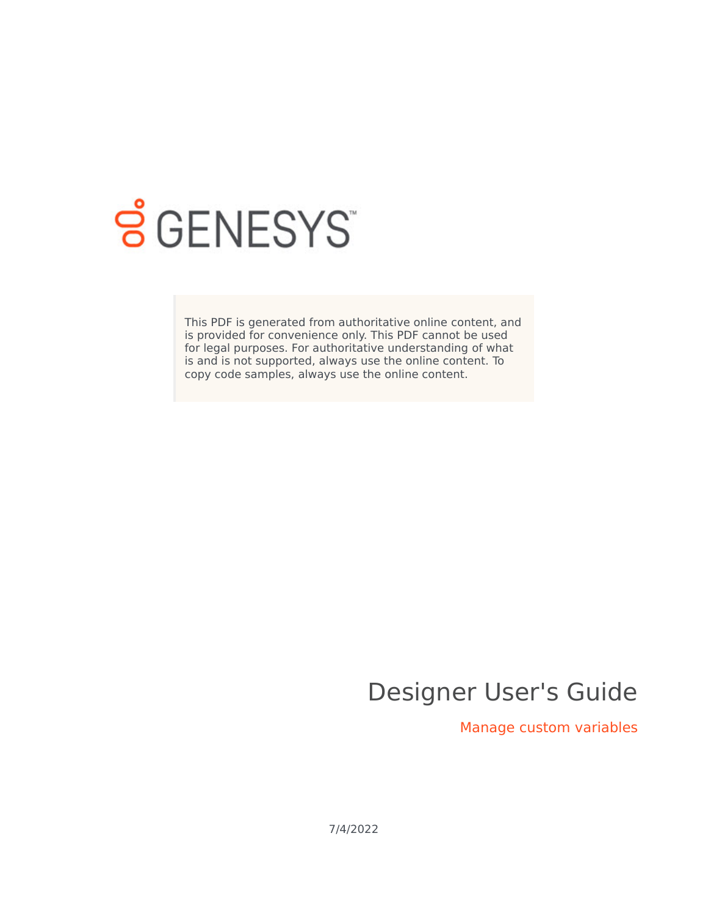

# **SGENESYS**

This PDF is generated from authoritative online content, and is provided for convenience only. This PDF cannot be used for legal purposes. For authoritative understanding of what is and is not supported, always use the online content. To copy code samples, always use the online content.

## Designer User's Guide

Manage custom variables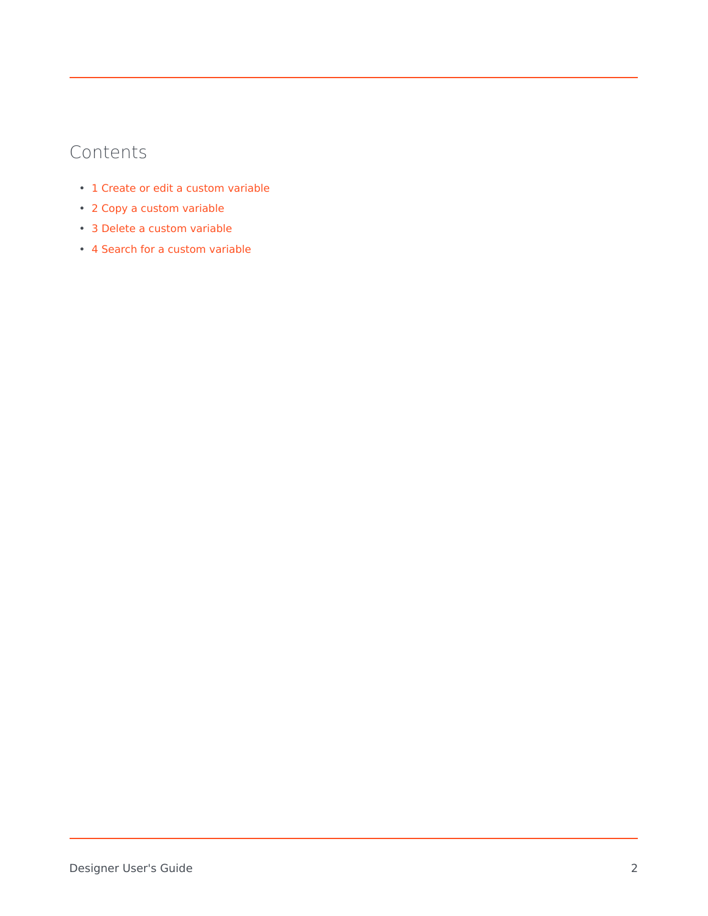### Contents

- 1 [Create or edit a custom variable](#page-2-0)
- 2 [Copy a custom variable](#page-3-0)
- 3 [Delete a custom variable](#page-4-0)
- 4 [Search for a custom variable](#page-4-1)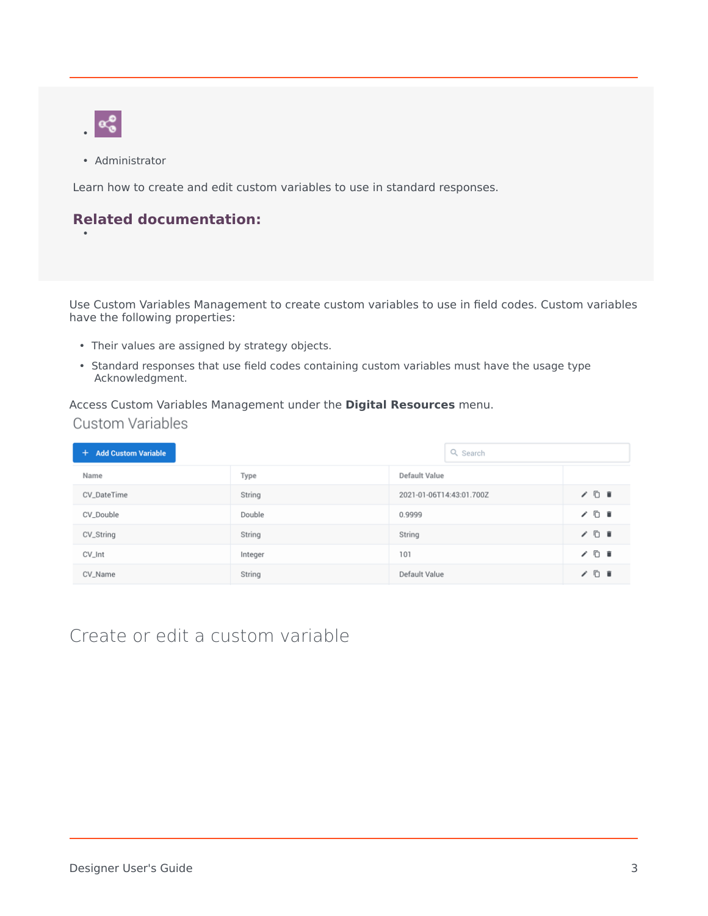

•

• Administrator

Learn how to create and edit custom variables to use in standard responses.

#### **Related documentation:**

Use Custom Variables Management to create custom variables to use in field codes. Custom variables have the following properties:

- Their values are assigned by strategy objects.
- Standard responses that use field codes containing custom variables must have the usage type Acknowledgment.

Access Custom Variables Management under the **Digital Resources** menu. **Custom Variables** 

| <b>Add Custom Variable</b><br>÷ | Q Search |                          |     |
|---------------------------------|----------|--------------------------|-----|
| Name                            | Type     | Default Value            |     |
| CV_DateTime                     | String   | 2021-01-06T14:43:01.700Z | ノ□■ |
| CV_Double                       | Double   | 0.9999                   | ノロョ |
| CV_String                       | String   | String                   | ノロョ |
| CV_Int                          | Integer  | 101                      | ノ□■ |
| CV_Name                         | String   | Default Value            | ノ□■ |

#### <span id="page-2-0"></span>Create or edit a custom variable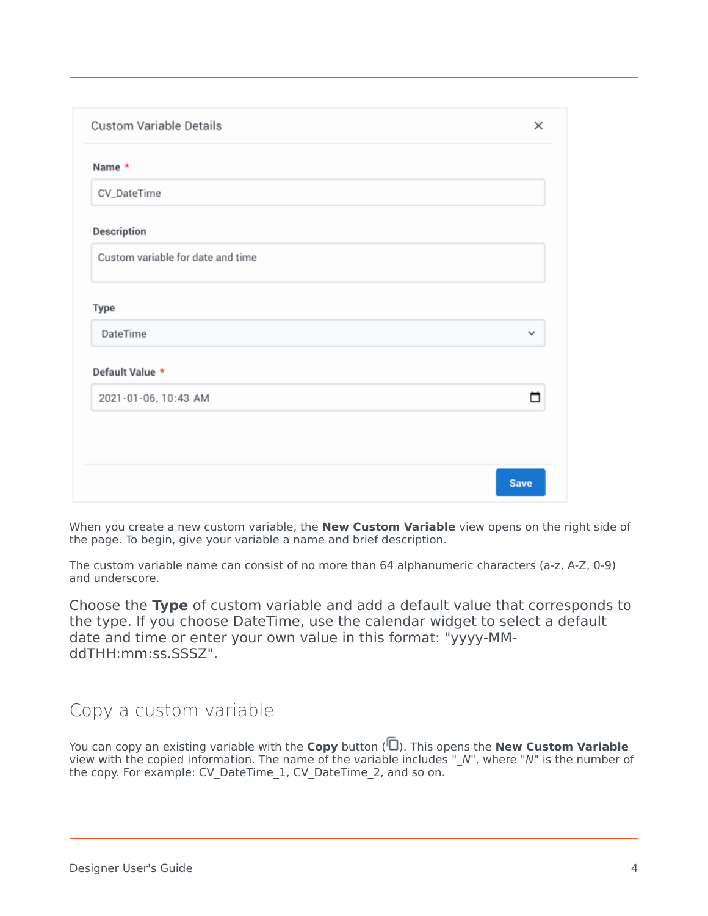| <b>Custom Variable Details</b>    | $\times$     |
|-----------------------------------|--------------|
| Name *                            |              |
| CV_DateTime                       |              |
| <b>Description</b>                |              |
| Custom variable for date and time |              |
| Type                              |              |
| DateTime                          | $\checkmark$ |
| Default Value *                   |              |
| 2021-01-06, 10:43 AM              | ┍            |
|                                   |              |
|                                   |              |
|                                   | <b>Save</b>  |

When you create a new custom variable, the **New Custom Variable** view opens on the right side of the page. To begin, give your variable a name and brief description.

The custom variable name can consist of no more than 64 alphanumeric characters (a-z, A-Z, 0-9) and underscore.

Choose the **Type** of custom variable and add a default value that corresponds to the type. If you choose DateTime, use the calendar widget to select a default date and time or enter your own value in this format: "yyyy-MMddTHH:mm:ss.SSSZ".

#### <span id="page-3-0"></span>Copy a custom variable

You can copy an existing variable with the **Copy** button ( $\Box$ ). This opens the **New Custom Variable** view with the copied information. The name of the variable includes "\_*N*", where "*N*" is the number of the copy. For example: CV\_DateTime\_1, CV\_DateTime\_2, and so on.